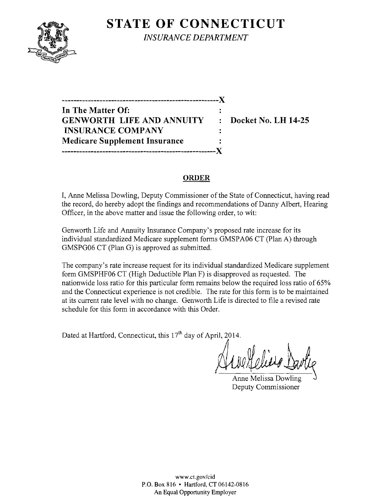

**STATE OF CONNECTICUT** *INSURANCE DEPARTMENT* 

**------------------------------------------------------)( In The Matter Of: GENWORTH LIFE AND ANNUITY : Docket No. LH 14-25 INSURANCE COMPANY**   $\ddot{\phantom{a}}$ **Medicare Supplement Insurance -----------------------------------------------------)(** 

## **ORDER**

I, Anne Melissa Dowling, Deputy Commissioner of the State of Connecticut, having read the record, do hereby adopt the findings and recommendations of Danny Albert, Hearing Officer, in the above matter and issue the following order, to wit:

Genworth Life and Annuity Insurance Company's proposed rate increase for its individual standardized Medicare supplement forms GMSPA06 CT (Plan A) through GMSPG06 CT (Plan G) is approved as submitted.

The company's rate increase request for its individual standardized Medicare supplement form GMSPHF06 CT (High Deductible Plan F) is disapproved as requested. The nationwide loss ratio for this particular form remains below the required loss ratio of 65% and the Connecticut experience is not credible. The rate for this form is to be maintained at its current rate level with no change. Genworth Life is directed to file a revised rate schedule for this form in accordance with this Order.

Dated at Hartford, Connecticut, this  $17<sup>th</sup>$  day of April, 2014.

Anne Melissa Dowling Deputy Commissioner

www.ct.gov/cid P.O. Box 816 • Hartford, CT 06142-0816 An Equal Opportunity Employer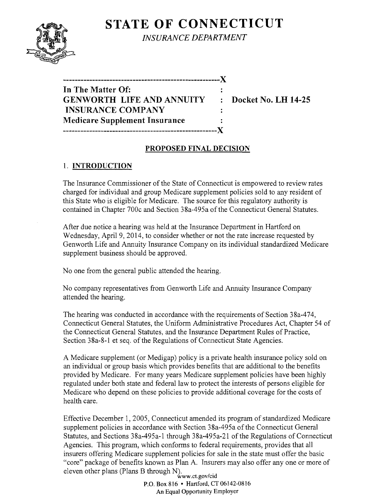# **STATE OF CONNECTICUT**



*INSURANCE DEPARTMENT* 

| In The Matter Of:                    |           |
|--------------------------------------|-----------|
| <b>GENWORTH LIFE AND ANNUITY</b>     | $\bullet$ |
| <b>INSURANCE COMPANY</b>             |           |
| <b>Medicare Supplement Insurance</b> |           |
| __________________________________   | -- X      |

**Docket No. LH 14-25** 

#### **PROPOSED FINAL DECISION**

## 1. **INTRODUCTION**

The Insurance Commissioner of the State of Connecticut is empowered to review rates charged for individual and group Medicare supplement policies sold to any resident of this State who is eligible for Medicare. The source for this regulatory authority is contained in Chapter 700c and Section 38a-495a of the Connecticut General Statutes.

After due notice a hearing was held at the Insurance Department in Hartford on Wednesday, April 9, 2014, to consider whether or not the rate increase requested by Genworth Life and Annuity Insurance Company on its individual standardized Medicare supplement business should be approved.

No one from the general public attended the hearing.

No company representatives from Genworth Life and Annuity Insurance Company attended the hearing.

The hearing was conducted in accordance with the requirements of Section 38a-474, Connecticut General Statutes, the Uniform Administrative Procedures Act, Chapter 54 of the Connecticut General Statutes, and the Insurance Department Rules of Practice, Section 38a-8-1 et seq. of the Regulations of Connecticut State Agencies.

A Medicare supplement (or Medigap) policy is a private health insurance policy sold on an individual or group basis which provides benefits that are additional to the benefits provided by Medicare. For many years Medicare supplement policies have been highly regulated under both state and federal law to protect the interests of persons eligible for Medicare who depend on these policies to provide additional coverage for the costs of health care.

Effective December 1, 2005, Connecticut amended its program of standardized Medicare supplement policies in accordance with Section 38a-495a of the Connecticut General Statutes, and Sections 38a-495a-1 through 38a-495a-21 of the Regulations of Connecticut Agencies. This program, which conforms to federal requirements, provides that all insurers offering Medicare supplement policies for sale in the state must offer the basic "core" package of benefits known as Plan A. Insurers may also offer anyone or more of eleven other plans (Plans B through N).<br>www.ct.gov/cid

P.O. Box 816 • Hartford, CT 06142-0816 An Equal Opportunity Employer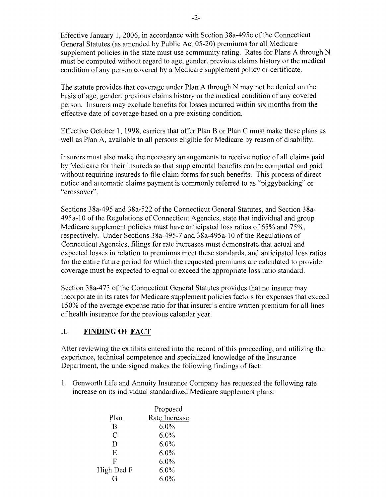Effective January 1, 2006, in accordance with Section 38a-495c of the Connecticut General Statutes (as amended by Public Act 05-20) premiums for all Medicare supplement policies in the state must use community rating. Rates for Plans A through N must be computed without regard to age, gender, previous claims history or the medical condition of any person covered by a Medicare supplement policy or certificate.

The statute provides that coverage under Plan A through N may not be denied on the basis of age, gender, previous claims history or the medical condition of any covered person. Insurers may exclude benefits for losses incurred within six months from the effective date of coverage based on a pre-existing condition.

Effective October 1, 1998, carriers that offer Plan B or Plan C must make these plans as well as Plan A, available to all persons eligible for Medicare by reason of disability.

Insurers must also make the necessary arrangements to receive notice of all claims paid by Medicare for their insureds so that supplemental benefits can be computed and paid without requiring insureds to file claim forms for such benefits. This process of direct notice and automatic claims payment is commonly referred to as "piggybacking" or "crossover".

Sections 38a-495 and 38a-522 of the Connecticut General Statutes, and Section 38a-495a-10 of the Regulations of Connecticut Agencies, state that individual and group Medicare supplement policies must have anticipated loss ratios of 65% and 75%, respectively. Under Sections 38a-495-7 and 38a-495a-10 of the Regulations of Connecticut Agencies, filings for rate increases must demonstrate that actual and expected losses in relation to premiums meet these standards, and anticipated loss ratios for the entire future period for which the requested premiums are calculated to provide coverage must be expected to equal or exceed the appropriate loss ratio standard.

Section 38a-473 of the Connecticut General Statutes provides that no insurer may incorporate in its rates for Medicare supplement policies factors for expenses that exceed 150% of the average expense ratio for that insurer's entire written premium for all lines of health insurance for the previous calendar year.

## II. **FINDING OF FACT**

After reviewing the exhibits entered into the record of this proceeding, and utilizing the experience, technical competence and specialized knowledge of the Insurance Department, the undersigned makes the following findings of fact:

1. Genworth Life and Annuity Insurance Company has requested the following rate increase on its individual standardized Medicare supplement plans:

|                | Proposed      |  |
|----------------|---------------|--|
| Plan           | Rate Increase |  |
| R              | $6.0\%$       |  |
| $\overline{C}$ | $6.0\%$       |  |
| D              | 6.0%          |  |
| E              | $6.0\%$       |  |
| F              | 6.0%          |  |
| High Ded F     | $6.0\%$       |  |
|                | 6.0%          |  |
|                |               |  |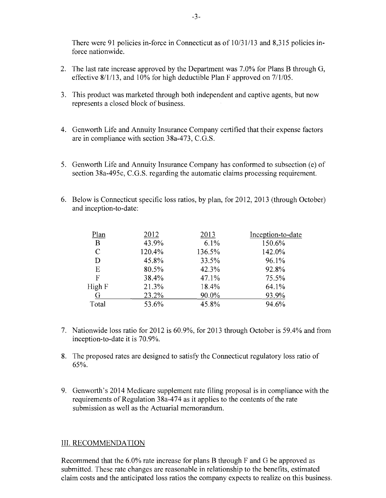There were 91 policies in-force in Connecticut as of 10/31/13 and 8,315 policies inforce nationwide.

- 2. The last rate increase approved by the Department was  $7.0\%$  for Plans B through G, effective 8/1/13, and 10% for high deductible Plan F approved on 7/1/05.
- 3. This product was marketed through both independent and captive agents, but now represents a closed block of business.
- 4. Genworth Life and Annuity Insurance Company certified that their expense factors are in compliance with section 38a-473, C.G.S.
- 5. Genworth Life and Annuity Insurance Company has conformed to subsection (e) of section 38a-495c, C.G.S. regarding the automatic claims processing requirement.
- 6. Below is Connecticut specific loss ratios, by plan, for 2012,2013 (through October) and inception-to-date:

| Plan        | 2012   | 2013   | Inception-to-date |
|-------------|--------|--------|-------------------|
| B           | 43.9%  | 6.1%   | 150.6%            |
| $\mathbf C$ | 120.4% | 136.5% | 142.0%            |
| D           | 45.8%  | 33.5%  | 96.1%             |
| E           | 80.5%  | 42.3%  | 92.8%             |
| F           | 38.4%  | 47.1%  | 75.5%             |
| High F      | 21.3%  | 18.4%  | 64.1%             |
| G           | 23.2%  | 90.0%  | 93.9%             |
| Total       | 53.6%  | 45.8%  | 94.6%             |

- 7. Nationwide loss ratio for 2012 is 60.9%, for 2013 through October is 59.4% and from inception-to-date it is 70.9%.
- 8. The proposed rates are designed to satisfy the Connecticut regulatory loss ratio of 65%.
- 9. Genworth's 2014 Medicare supplement rate filing proposal is in compliance with the requirements of Regulation 38a-474 as it applies to the contents of the rate submission as well as the Actuarial memorandum.

#### III. RECOMMENDATION

Recommend that the 6.0% rate increase for plans B through F and G be approved as submitted. These rate changes are reasonable in relationship to the benefits, estimated claim costs and the anticipated loss ratios the company expects to realize on this business.